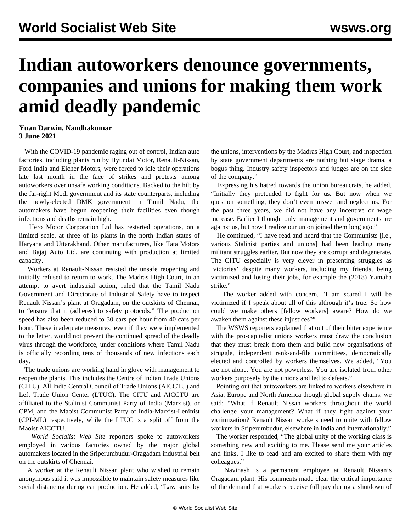## **Indian autoworkers denounce governments, companies and unions for making them work amid deadly pandemic**

## **Yuan Darwin, Nandhakumar 3 June 2021**

 With the COVID-19 pandemic raging out of control, Indian auto factories, including plants run by Hyundai Motor, Renault-Nissan, Ford India and Eicher Motors, were forced to idle their operations late last month in the face of strikes and protests among autoworkers over unsafe working conditions. Backed to the hilt by the far-right Modi government and its state counterparts, including the newly-elected DMK government in Tamil Nadu, the automakers have begun reopening their facilities even though infections and deaths remain high.

 Hero Motor Corporation Ltd has restarted operations, on a limited scale, at three of its plants in the north Indian states of Haryana and Uttarakhand. Other manufacturers, like Tata Motors and Bajaj Auto Ltd, are continuing with production at limited capacity.

 Workers at Renault-Nissan resisted the unsafe reopening and initially refused to return to work. The Madras High Court, in an attempt to avert industrial action, ruled that the Tamil Nadu Government and Directorate of Industrial Safety have to inspect Renault Nissan's plant at Oragadam, on the outskirts of Chennai, to "ensure that it (adheres) to safety protocols." The production speed has also been reduced to 30 cars per hour from 40 cars per hour. These inadequate measures, even if they were implemented to the letter, would not prevent the continued spread of the deadly virus through the workforce, under conditions where Tamil Nadu is officially recording tens of thousands of new infections each day.

 The trade unions are working hand in glove with management to reopen the plants. This includes the Centre of Indian Trade Unions (CITU), All India Central Council of Trade Unions (AICCTU) and Left Trade Union Center (LTUC). The CITU and AICCTU are affiliated to the Stalinist Communist Party of India (Marxist), or CPM, and the Maoist Communist Party of India-Marxist-Leninist (CPI-ML) respectively, while the LTUC is a split off from the Maoist AICCTU.

 *World Socialist Web Site* reporters spoke to autoworkers employed in various factories owned by the major global automakers located in the Sriperumbudur-Oragadam industrial belt on the outskirts of Chennai.

 A worker at the Renault Nissan plant who wished to remain anonymous said it was impossible to maintain safety measures like social distancing during car production. He added, "Law suits by

the unions, interventions by the Madras High Court, and inspection by state government departments are nothing but stage drama, a bogus thing. Industry safety inspectors and judges are on the side of the company."

 Expressing his hatred towards the union bureaucrats, he added, "Initially they pretended to fight for us. But now when we question something, they don't even answer and neglect us. For the past three years, we did not have any incentive or wage increase. Earlier I thought only management and governments are against us, but now I realize our union joined them long ago."

 He continued, "I have read and heard that the Communists [i.e., various Stalinist parties and unions] had been leading many militant struggles earlier. But now they are corrupt and degenerate. The CITU especially is very clever in presenting struggles as 'victories' despite many workers, including my friends, being victimized and losing their jobs, for example the (2018) Yamaha strike."

 The worker added with concern, "I am scared I will be victimized if I speak about all of this although it's true. So how could we make others [fellow workers] aware? How do we awaken them against these injustices?"

 The WSWS reporters explained that out of their bitter experience with the pro-capitalist unions workers must draw the conclusion that they must break from them and build new organisations of struggle, independent rank-and-file committees, democratically elected and controlled by workers themselves. We added, "You are not alone. You are not powerless. You are isolated from other workers purposely by the unions and led to defeats."

 Pointing out that autoworkers are linked to workers elsewhere in Asia, Europe and North America though global supply chains, we said: "What if Renault Nissan workers throughout the world challenge your management? What if they fight against your victimization? Renault Nissan workers need to unite with fellow workers in Sriperumbudur, elsewhere in India and internationally."

 The worker responded, "The global unity of the working class is something new and exciting to me. Please send me your articles and links. I like to read and am excited to share them with my colleagues."

 Navinash is a permanent employee at Renault Nissan's Oragadam plant. His comments made clear the critical importance of the demand that workers receive full pay during a shutdown of